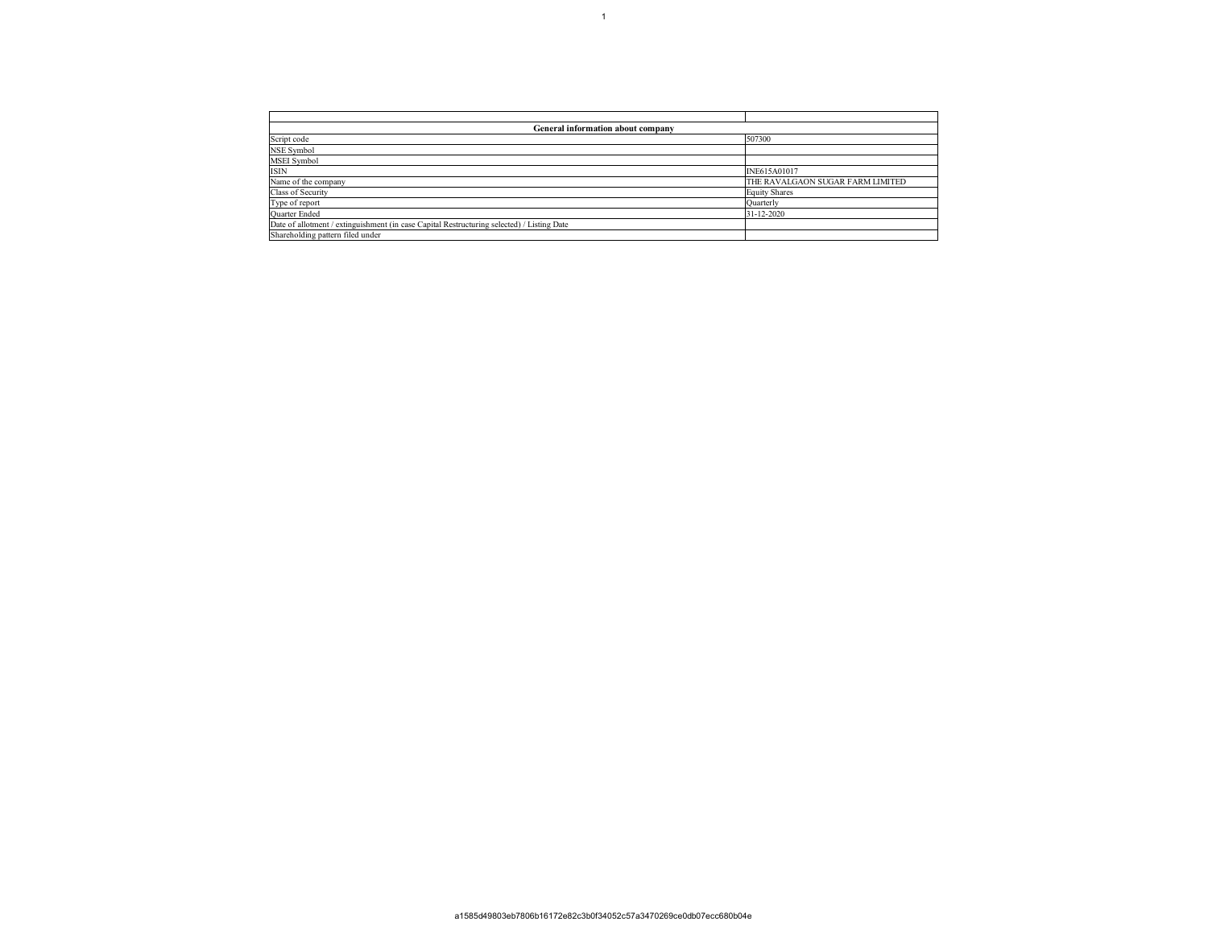| General information about company                                                          |                                  |  |  |  |  |  |  |  |  |  |  |
|--------------------------------------------------------------------------------------------|----------------------------------|--|--|--|--|--|--|--|--|--|--|
| Script code                                                                                | 507300                           |  |  |  |  |  |  |  |  |  |  |
| NSE Symbol                                                                                 |                                  |  |  |  |  |  |  |  |  |  |  |
| MSEI Symbol                                                                                |                                  |  |  |  |  |  |  |  |  |  |  |
| <b>ISIN</b>                                                                                | INE615A01017                     |  |  |  |  |  |  |  |  |  |  |
| Name of the company                                                                        | THE RAVALGAON SUGAR FARM LIMITED |  |  |  |  |  |  |  |  |  |  |
| Class of Security                                                                          | <b>Equity Shares</b>             |  |  |  |  |  |  |  |  |  |  |
| Type of report                                                                             | Quarterly                        |  |  |  |  |  |  |  |  |  |  |
| Quarter Ended                                                                              | 31-12-2020                       |  |  |  |  |  |  |  |  |  |  |
| Date of allotment / extinguishment (in case Capital Restructuring selected) / Listing Date |                                  |  |  |  |  |  |  |  |  |  |  |
| Shareholding pattern filed under                                                           |                                  |  |  |  |  |  |  |  |  |  |  |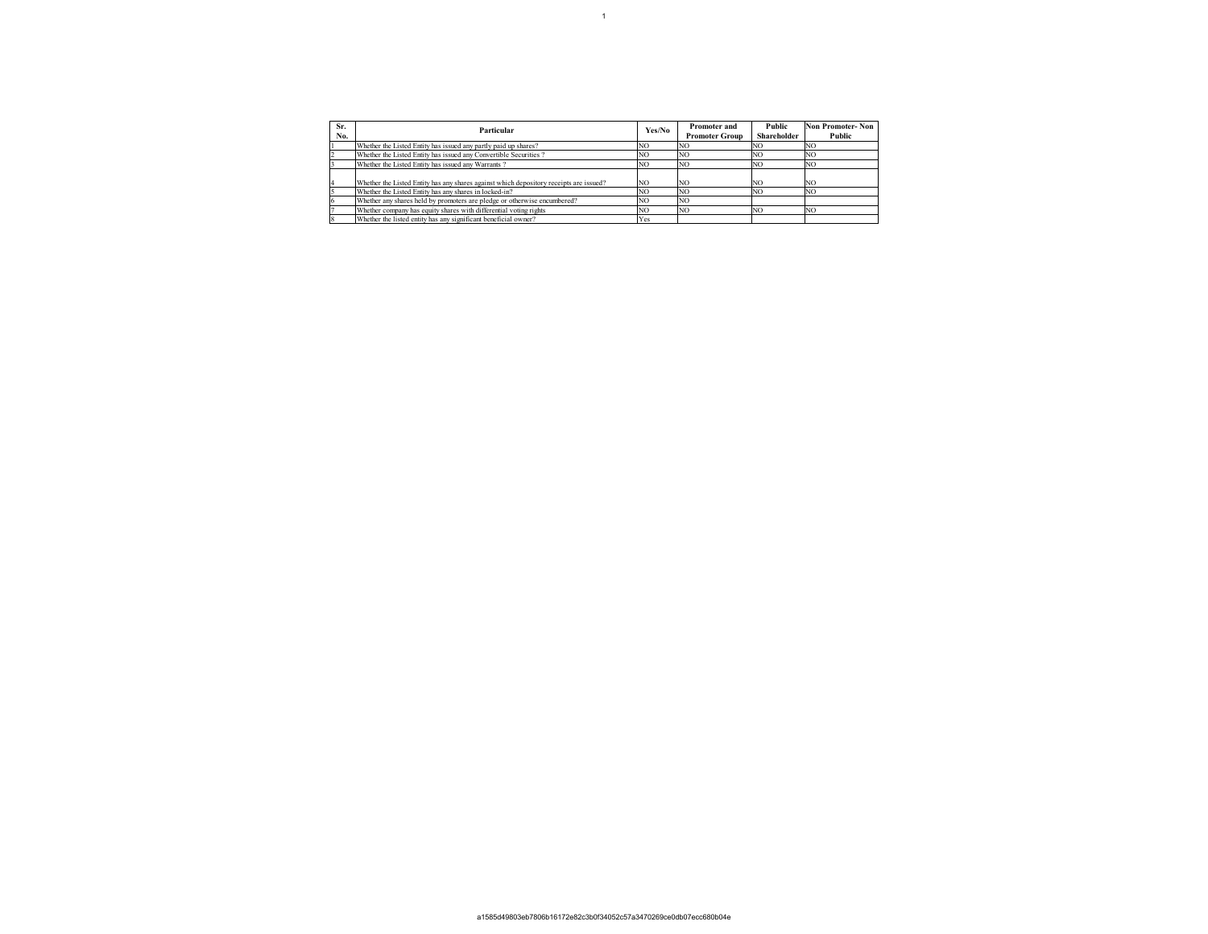| Sr. | Particular                                                                             | Yes/No         | Promoter and          | <b>Public</b>                                                                                                          | Non Promoter-Non |
|-----|----------------------------------------------------------------------------------------|----------------|-----------------------|------------------------------------------------------------------------------------------------------------------------|------------------|
| No. |                                                                                        |                | <b>Promoter Group</b> | Shareholder<br>Public<br>NC<br>NO<br>NC<br>NO<br>N <sub>O</sub><br>NC<br>N <sub>O</sub><br>NO.<br>NO<br>NC<br>NO<br>NC |                  |
|     | Whether the Listed Entity has issued any partly paid up shares?                        | NO             | N <sub>O</sub>        |                                                                                                                        |                  |
|     | Whether the Listed Entity has issued any Convertible Securities?                       | NO             | NO                    |                                                                                                                        |                  |
|     | Whether the Listed Entity has issued any Warrants?                                     | N <sub>O</sub> | NO.                   |                                                                                                                        |                  |
|     |                                                                                        |                |                       |                                                                                                                        |                  |
|     | Whether the Listed Entity has any shares against which depository receipts are issued? | NO.            | NO <sub></sub>        |                                                                                                                        |                  |
|     | Whether the Listed Entity has any shares in locked-in?                                 | N <sub>O</sub> | NO                    |                                                                                                                        |                  |
|     | Whether any shares held by promoters are pledge or otherwise encumbered?               | NO.            | NO <sub></sub>        |                                                                                                                        |                  |
|     | Whether company has equity shares with differential voting rights                      | 'NO            | NO                    |                                                                                                                        |                  |
|     | Whether the listed entity has any significant beneficial owner?                        | Yes            |                       |                                                                                                                        |                  |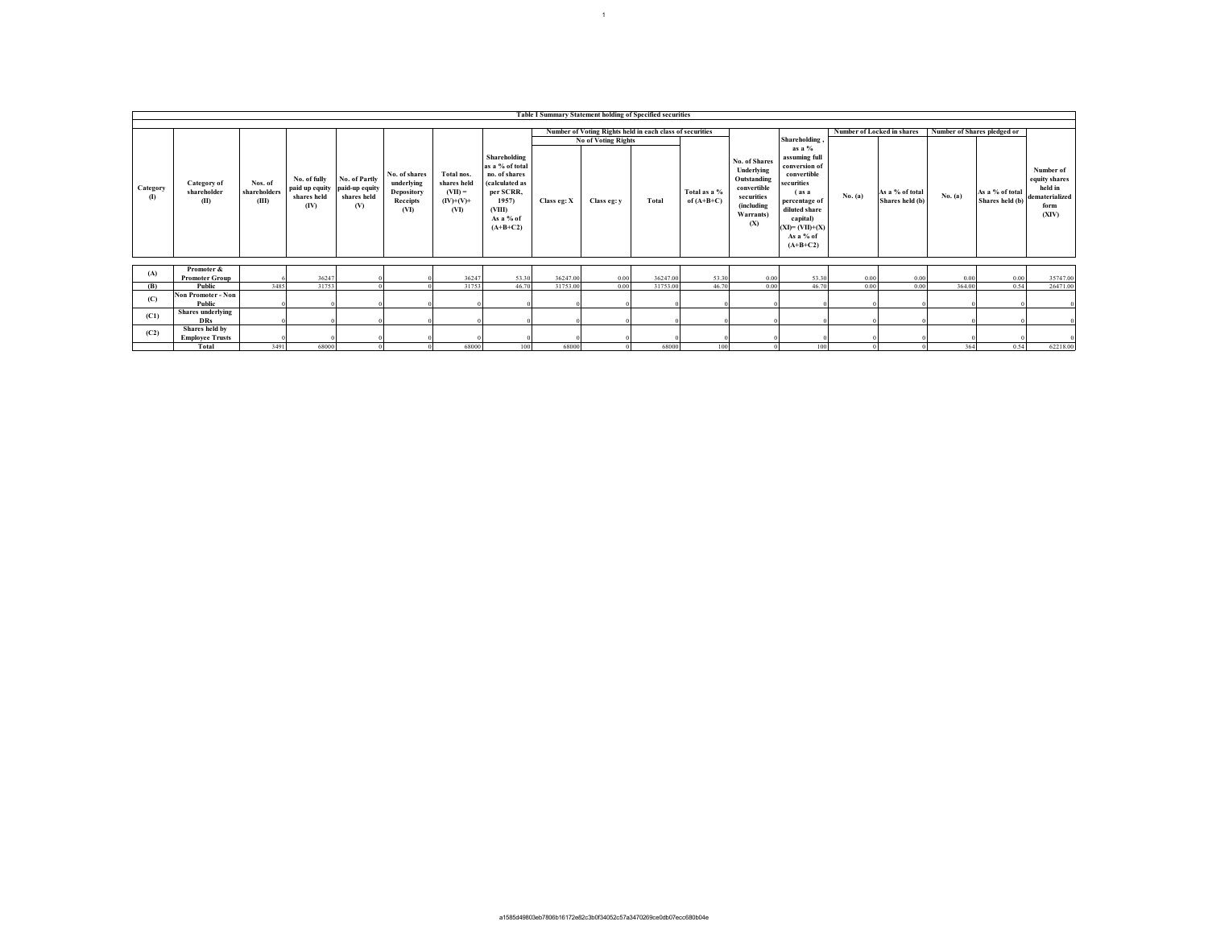|                          | Table I Summary Statement holding of Specified securities |                                  |                                                       |                                                       |                                                               |                                                               |                                                                                                                               |             |                                                          |          |                              |                                                                                                           |                                                                                                                                                                                   |                                   |                                    |                             |                                    |                                                                          |
|--------------------------|-----------------------------------------------------------|----------------------------------|-------------------------------------------------------|-------------------------------------------------------|---------------------------------------------------------------|---------------------------------------------------------------|-------------------------------------------------------------------------------------------------------------------------------|-------------|----------------------------------------------------------|----------|------------------------------|-----------------------------------------------------------------------------------------------------------|-----------------------------------------------------------------------------------------------------------------------------------------------------------------------------------|-----------------------------------|------------------------------------|-----------------------------|------------------------------------|--------------------------------------------------------------------------|
|                          |                                                           |                                  |                                                       |                                                       |                                                               |                                                               |                                                                                                                               |             |                                                          |          |                              |                                                                                                           |                                                                                                                                                                                   |                                   |                                    |                             |                                    |                                                                          |
|                          |                                                           |                                  |                                                       |                                                       |                                                               |                                                               |                                                                                                                               |             | Number of Voting Rights held in each class of securities |          |                              |                                                                                                           |                                                                                                                                                                                   | <b>Number of Locked in shares</b> |                                    | Number of Shares pledged or |                                    |                                                                          |
|                          |                                                           |                                  |                                                       |                                                       |                                                               |                                                               |                                                                                                                               |             | <b>No of Voting Rights</b>                               |          |                              |                                                                                                           | <b>Shareholding</b>                                                                                                                                                               |                                   |                                    |                             |                                    |                                                                          |
| Category<br>$\mathbf{u}$ | Category of<br>shareholder<br>(II)                        | Nos. of<br>shareholders<br>(III) | No. of fully<br>paid up equity<br>shares held<br>(IV) | No. of Partly<br>paid-up equity<br>shares held<br>(V) | No. of shares<br>underlying<br>Depository<br>Receipts<br>(VI) | Total nos.<br>shares held<br>$(VII) =$<br>$(IV)+(V)+$<br>(VI) | Shareholding<br>as a % of total<br>no. of shares<br>(calculated as<br>per SCRR,<br>1957)<br>(VIII)<br>As a % of<br>$(A+B+C2)$ | Class eg: X | Class eg: v                                              | Total    | Total as a %<br>of $(A+B+C)$ | No. of Shares<br>Underlying<br>Outstanding<br>convertible<br>securities<br>(including<br>Warrants)<br>(X) | as a $%$<br>assuming full<br>conversion of<br>convertible<br>securities<br>$($ as a<br>percentage of<br>diluted share<br>capital)<br>$(XI)= (VII)+(X)$<br>As a % of<br>$(A+B+C2)$ | No. (a)                           | As a % of total<br>Shares held (b) | No. (a)                     | As a % of total<br>Shares held (b) | Number of<br>equity shares<br>held in<br>dematerialized<br>form<br>(XIV) |
|                          | Promoter &                                                |                                  |                                                       |                                                       |                                                               |                                                               |                                                                                                                               |             |                                                          |          |                              |                                                                                                           |                                                                                                                                                                                   |                                   |                                    |                             |                                    |                                                                          |
| (A)                      | <b>Promoter Group</b>                                     |                                  | 36247                                                 |                                                       |                                                               | 36247                                                         | 53.30                                                                                                                         | 36247.00    | 0.00                                                     | 36247.00 | 53.30                        | 0.00                                                                                                      | 53.30                                                                                                                                                                             | 0.00                              | 0.00                               | 0.00                        | 0.00                               | 35747.00                                                                 |
| (B)                      | Public                                                    | 3485                             | 31753                                                 |                                                       |                                                               | 31753                                                         | 46.70                                                                                                                         | 31753.00    | 0.00                                                     | 31753.00 | 46.70                        | 0.00                                                                                                      | 46.70                                                                                                                                                                             | 0.00                              | 0.00                               | 364.00                      | 0.54                               | 26471.00                                                                 |
|                          | <b>Non Promoter - Non</b>                                 |                                  |                                                       |                                                       |                                                               |                                                               |                                                                                                                               |             |                                                          |          |                              |                                                                                                           |                                                                                                                                                                                   |                                   |                                    |                             |                                    |                                                                          |
| (C)                      | <b>Public</b>                                             |                                  |                                                       |                                                       |                                                               |                                                               |                                                                                                                               |             |                                                          |          |                              |                                                                                                           |                                                                                                                                                                                   |                                   |                                    |                             |                                    |                                                                          |
| (C1)                     | <b>Shares</b> underlying                                  |                                  |                                                       |                                                       |                                                               |                                                               |                                                                                                                               |             |                                                          |          |                              |                                                                                                           |                                                                                                                                                                                   |                                   |                                    |                             |                                    |                                                                          |
|                          | <b>DRs</b>                                                |                                  |                                                       |                                                       |                                                               |                                                               |                                                                                                                               |             |                                                          |          |                              |                                                                                                           |                                                                                                                                                                                   |                                   |                                    |                             |                                    |                                                                          |
| (C2)                     | Shares held by                                            |                                  |                                                       |                                                       |                                                               |                                                               |                                                                                                                               |             |                                                          |          |                              |                                                                                                           |                                                                                                                                                                                   |                                   |                                    |                             |                                    |                                                                          |
|                          | <b>Employee Trusts</b>                                    |                                  |                                                       |                                                       |                                                               |                                                               |                                                                                                                               |             |                                                          |          |                              |                                                                                                           |                                                                                                                                                                                   |                                   |                                    |                             |                                    |                                                                          |
|                          | Total                                                     | 3491                             | 68000                                                 |                                                       |                                                               | 68000                                                         | 100                                                                                                                           | 68000       |                                                          | 68000    | 100                          |                                                                                                           | 100                                                                                                                                                                               |                                   |                                    | 364                         | 0.54                               | 62218.00                                                                 |

 $11 - 1$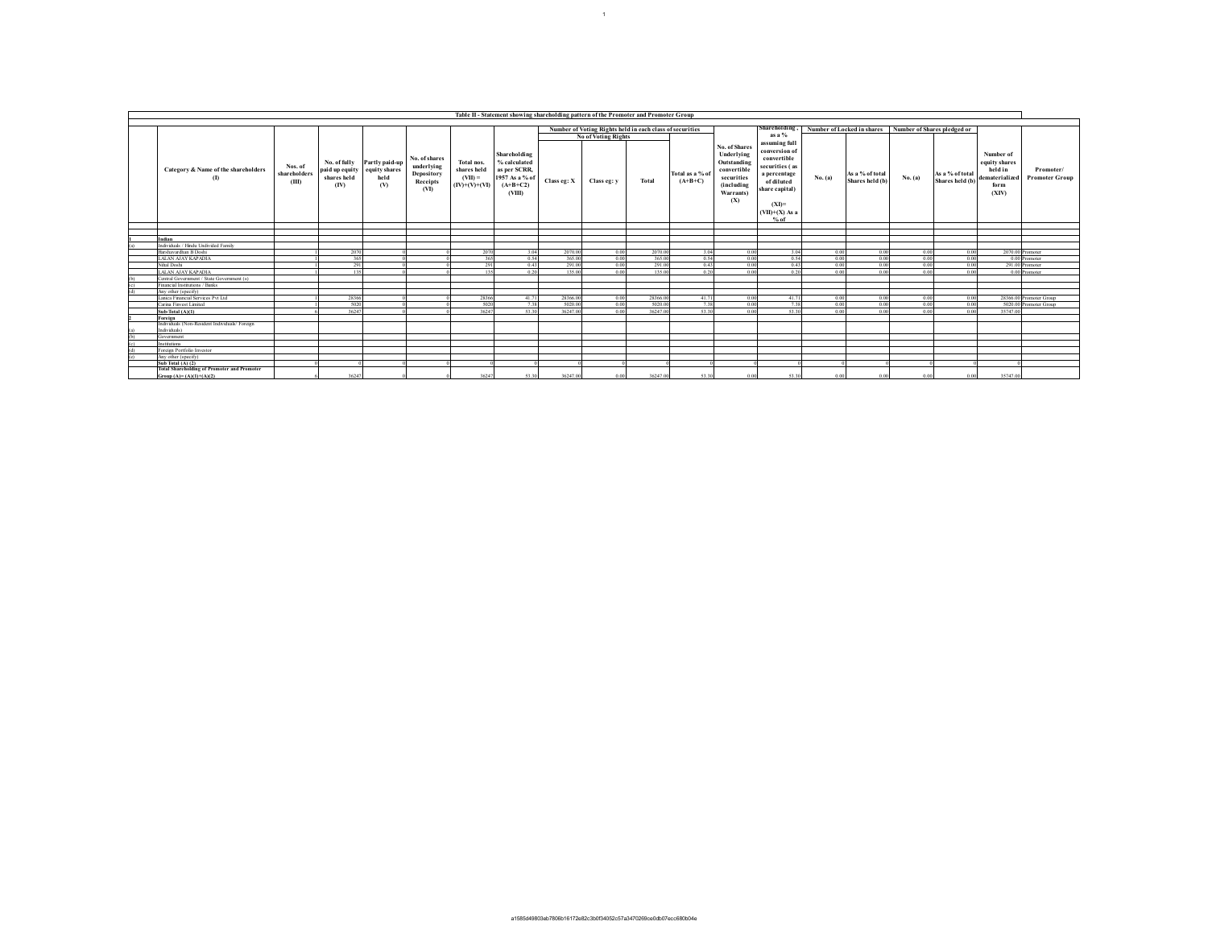|               | Table II - Statement showing shareholding pattern of the Promoter and Promoter Group |                                  |                                     |                                                               |                                                               |                                                           |                                                                                        |             |                                                          |          |                              |                                                                                                                  |                                                                                                                                                          |         |                                    |                                               |                                                                          |                                    |
|---------------|--------------------------------------------------------------------------------------|----------------------------------|-------------------------------------|---------------------------------------------------------------|---------------------------------------------------------------|-----------------------------------------------------------|----------------------------------------------------------------------------------------|-------------|----------------------------------------------------------|----------|------------------------------|------------------------------------------------------------------------------------------------------------------|----------------------------------------------------------------------------------------------------------------------------------------------------------|---------|------------------------------------|-----------------------------------------------|--------------------------------------------------------------------------|------------------------------------|
|               |                                                                                      |                                  |                                     |                                                               |                                                               |                                                           |                                                                                        |             |                                                          |          |                              |                                                                                                                  |                                                                                                                                                          |         |                                    |                                               |                                                                          |                                    |
|               |                                                                                      |                                  |                                     |                                                               |                                                               |                                                           |                                                                                        |             | Number of Voting Rights held in each class of securities |          |                              |                                                                                                                  | Shareholding,                                                                                                                                            |         | Number of Locked in shares         | Number of Shares pledged or                   |                                                                          |                                    |
|               |                                                                                      |                                  |                                     |                                                               |                                                               |                                                           |                                                                                        |             | No of Voting Rights                                      |          |                              |                                                                                                                  | as a $%$                                                                                                                                                 |         |                                    |                                               |                                                                          |                                    |
|               | Category & Name of the shareholders                                                  | Nos. of<br>shareholders<br>(III) | No. of fully<br>shares held<br>(IV) | Partly paid-up<br>paid up equity equity shares<br>held<br>(V) | No. of shares<br>underlying<br>Depository<br>Receipts<br>(VI) | Total nos.<br>shares held<br>$(VII) =$<br>$(IV)+(V)+(VI)$ | Shareholding<br>% calculated<br>as per SCRR,<br>1957 As a % of<br>$(A+B+C2)$<br>(VIII) | Class eg: X | Class eg: y                                              | Total    | Total as a % of<br>$(A+B+C)$ | No. of Shares<br>Underlying<br><b>Outstanding</b><br>convertible<br>securities<br>(including<br>Warrants)<br>(X) | assuming full<br>conversion of<br>convertible<br>securities (as<br>a percentage<br>of diluted<br>share capital)<br>$(XI)=$<br>$(VII)+(X)$ As a<br>$%$ of | No. (a) | As a % of total<br>Shares held (b) | As a % of total<br>No. (a)<br>Shares held (b) | Number of<br>equity shares<br>held in<br>dematerialized<br>form<br>(XIV) | Promoter/<br><b>Promoter Group</b> |
|               |                                                                                      |                                  |                                     |                                                               |                                                               |                                                           |                                                                                        |             |                                                          |          |                              |                                                                                                                  |                                                                                                                                                          |         |                                    |                                               |                                                                          |                                    |
|               |                                                                                      |                                  |                                     |                                                               |                                                               |                                                           |                                                                                        |             |                                                          |          |                              |                                                                                                                  |                                                                                                                                                          |         |                                    |                                               |                                                                          |                                    |
|               | Indian                                                                               |                                  |                                     |                                                               |                                                               |                                                           |                                                                                        |             |                                                          |          |                              |                                                                                                                  |                                                                                                                                                          |         |                                    |                                               |                                                                          |                                    |
|               | Individuals / Hindu Undivided Family                                                 |                                  |                                     |                                                               |                                                               |                                                           |                                                                                        |             |                                                          |          |                              |                                                                                                                  |                                                                                                                                                          |         |                                    |                                               |                                                                          |                                    |
|               | Harshavardhan B Doshi                                                                |                                  | 2070                                |                                                               |                                                               | 2070                                                      | 3.04                                                                                   | 2070.00     | 0.00                                                     | 2070.00  | 3.04                         | 0.00                                                                                                             | 3.04                                                                                                                                                     | 0.00    | 0.00                               | 0.00<br>0.00                                  |                                                                          | 2070.00 Promoter                   |
|               | LALAN AJAY KAPADIA                                                                   |                                  | 365                                 |                                                               |                                                               | 365                                                       | 0.54                                                                                   | 365.00      | 0.00                                                     | 365.00   | 0.54                         | 0.00                                                                                                             | 0.54                                                                                                                                                     | 0.00    | 0.00                               | 0.00<br>0.00                                  |                                                                          | 0.00 Promoter                      |
|               | Nihal Doshi                                                                          |                                  | 291                                 |                                                               |                                                               | 291                                                       | 0.43                                                                                   | 291.00      | 0.00                                                     | 291.00   | 0.43                         | 0.00                                                                                                             | 0.43                                                                                                                                                     | 0.00    | 0.00                               | 0.00<br>0.00                                  |                                                                          | 291.00 Promoter                    |
|               | LALAN AJAY KAPADIA                                                                   |                                  | 135                                 |                                                               |                                                               | 135                                                       | 0.20                                                                                   | 135.00      | 0.00                                                     | 135.00   | 0.20                         | 0.00                                                                                                             | 0.20                                                                                                                                                     | 0.00    | 0.00                               | 0.00<br>-0.00                                 |                                                                          | 0.00 Promoter                      |
|               | Central Government / State Government (s)                                            |                                  |                                     |                                                               |                                                               |                                                           |                                                                                        |             |                                                          |          |                              |                                                                                                                  |                                                                                                                                                          |         |                                    |                                               |                                                                          |                                    |
|               | Financial Institutions / Banks                                                       |                                  |                                     |                                                               |                                                               |                                                           |                                                                                        |             |                                                          |          |                              |                                                                                                                  |                                                                                                                                                          |         |                                    |                                               |                                                                          |                                    |
| $\frac{c}{d}$ | Any other (specify)                                                                  |                                  |                                     |                                                               |                                                               |                                                           |                                                                                        |             |                                                          |          |                              |                                                                                                                  |                                                                                                                                                          |         |                                    |                                               |                                                                          |                                    |
|               | Lanica Financial Services Pvt Ltd                                                    |                                  | 28366                               |                                                               |                                                               | 28366                                                     | 41.71                                                                                  | 28366.00    | 0.00                                                     | 28366.00 | 41.71                        | 0.00                                                                                                             | 41.71                                                                                                                                                    | 0.00    | 0.00                               | 0.00<br>0.00                                  |                                                                          | 28366.00 Promoter Group            |
|               | Carina Finvest Limited                                                               |                                  | 5020                                |                                                               |                                                               | 5020                                                      | 7.38                                                                                   | 5020.00     | 0.00                                                     | 5020.00  | 7.38                         | 0.00                                                                                                             | 7.38                                                                                                                                                     | 0.00    | 0.00                               | 0.00<br>0.00                                  |                                                                          | 5020.00 Promoter Group             |
|               | Sub-Total (A)(1)                                                                     |                                  | 36247                               |                                                               |                                                               | 36247                                                     | 53.30                                                                                  | 36247.00    | 0.00                                                     | 36247.00 | 53.30                        | 0.00                                                                                                             | 53.30                                                                                                                                                    | 0.00    | 0.00                               | 0.00<br>0.00                                  | 35747.00                                                                 |                                    |
|               | Foreign                                                                              |                                  |                                     |                                                               |                                                               |                                                           |                                                                                        |             |                                                          |          |                              |                                                                                                                  |                                                                                                                                                          |         |                                    |                                               |                                                                          |                                    |
|               | Individuals (Non-Resident Individuals/Foreign<br>Individuals)                        |                                  |                                     |                                                               |                                                               |                                                           |                                                                                        |             |                                                          |          |                              |                                                                                                                  |                                                                                                                                                          |         |                                    |                                               |                                                                          |                                    |
| (b)           | Government                                                                           |                                  |                                     |                                                               |                                                               |                                                           |                                                                                        |             |                                                          |          |                              |                                                                                                                  |                                                                                                                                                          |         |                                    |                                               |                                                                          |                                    |
|               | Institutions                                                                         |                                  |                                     |                                                               |                                                               |                                                           |                                                                                        |             |                                                          |          |                              |                                                                                                                  |                                                                                                                                                          |         |                                    |                                               |                                                                          |                                    |
| $\frac{c}{d}$ | Foreign Portfolio Investor                                                           |                                  |                                     |                                                               |                                                               |                                                           |                                                                                        |             |                                                          |          |                              |                                                                                                                  |                                                                                                                                                          |         |                                    |                                               |                                                                          |                                    |
| (e)           | Any other (specify)                                                                  |                                  |                                     |                                                               |                                                               |                                                           |                                                                                        |             |                                                          |          |                              |                                                                                                                  |                                                                                                                                                          |         |                                    |                                               |                                                                          |                                    |
|               | Sub Total (A) (2)                                                                    |                                  |                                     |                                                               |                                                               |                                                           |                                                                                        |             |                                                          |          |                              |                                                                                                                  |                                                                                                                                                          |         |                                    |                                               |                                                                          |                                    |
|               | <b>Total Shareholding of Promoter and Promoter</b><br>$Group(A)=(A)(1)+(A)(2)$       |                                  | 36247                               |                                                               |                                                               | 36247                                                     | 53.30                                                                                  | 36247.00    | 0.00                                                     | 36247.00 | 53.30                        | 0.00                                                                                                             | 53.30                                                                                                                                                    | 0.00    | 0.00                               | 0.00<br>0.00                                  | 35747.00                                                                 |                                    |

 $\sim10^4$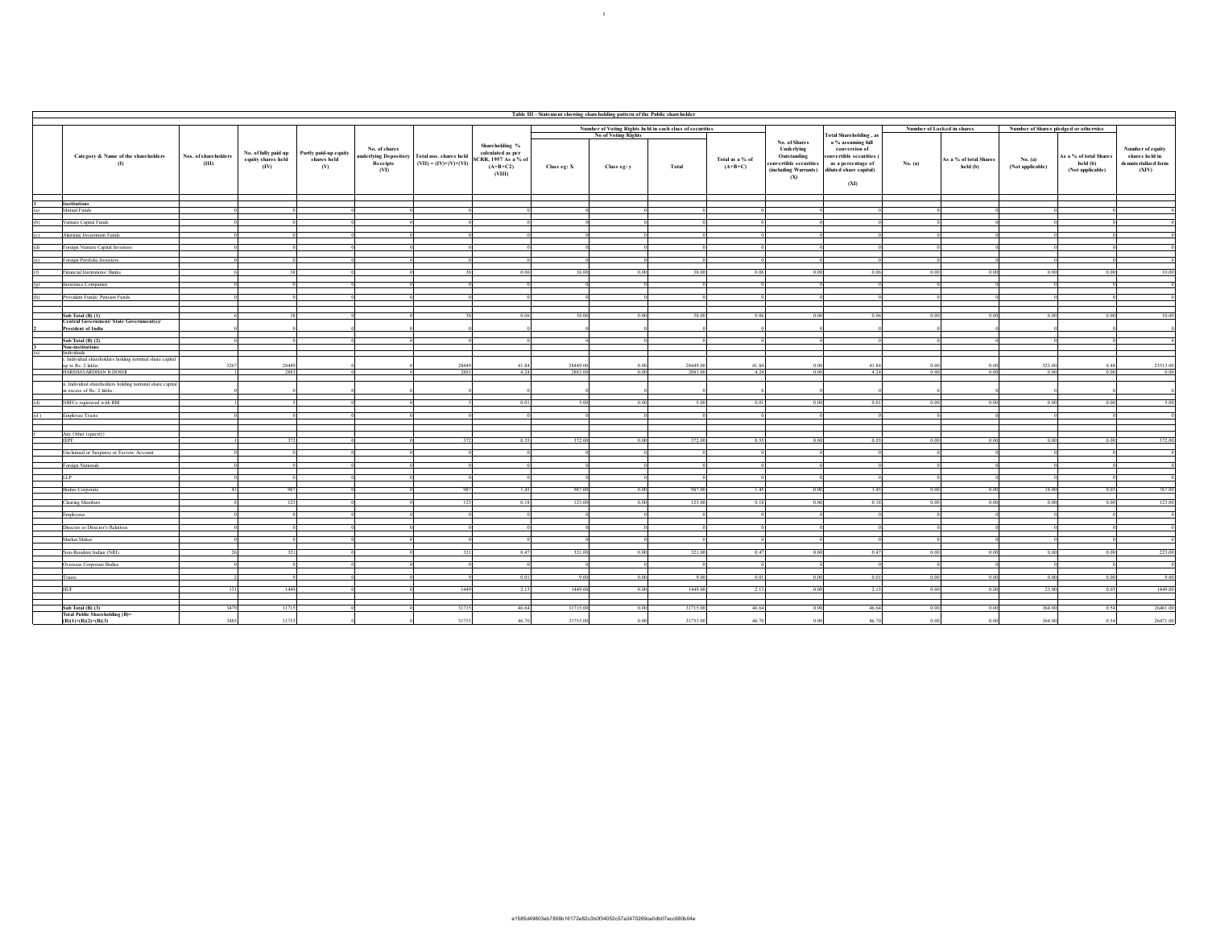|                                                                                   | Table III - Statement showing shareholding pattern of the Public shareholder |                            |                                                                  |                                   |                                                                         |                                                                                     |             |                     |          |                              |                                                                                                            |                                                                                                                        |         |                                    |                                       |                                                        |                                                                    |  |  |
|-----------------------------------------------------------------------------------|------------------------------------------------------------------------------|----------------------------|------------------------------------------------------------------|-----------------------------------|-------------------------------------------------------------------------|-------------------------------------------------------------------------------------|-------------|---------------------|----------|------------------------------|------------------------------------------------------------------------------------------------------------|------------------------------------------------------------------------------------------------------------------------|---------|------------------------------------|---------------------------------------|--------------------------------------------------------|--------------------------------------------------------------------|--|--|
| Number of Voting Rights held in each class of securities                          |                                                                              |                            |                                                                  |                                   |                                                                         |                                                                                     |             |                     |          |                              |                                                                                                            |                                                                                                                        |         | Number of Locked in shares         | Number of Shares pledged or otherwise |                                                        |                                                                    |  |  |
|                                                                                   |                                                                              |                            |                                                                  |                                   |                                                                         |                                                                                     |             | No of Voting Rights |          |                              |                                                                                                            | <b>Total Shareholding</b> , as                                                                                         |         |                                    |                                       |                                                        |                                                                    |  |  |
| Category & Name of the shareholders<br>$\left( \mathbf{I}\right)$                 | Nos. of shareholders<br>(III)                                                | equity shares held<br>(IV) | No. of fully paid up Partly paid-up equity<br>shares held<br>(V) | No. of shares<br>Receipts<br>(VI) | underlying Depository Total nos. shares held<br>$(VII) = (IV)+(V)+(VI)$ | Shareholding %<br>calculated as per<br>SCRR, 1957 As a % of<br>$(A+B+C2)$<br>(VIII) | Class eg: X | Class eg: y         | Total    | Total as a % of<br>$(A+B+C)$ | No. of Shares<br>Underlying<br><b>Outstanding</b><br>convertible securities<br>(including Warrants)<br>(X) | a % assuming full<br>conversion of<br>convertible securities (<br>as a percentage of<br>diluted share capital)<br>(XI) | No. (a) | As a % of total Shares<br>held (b) | No. (a)<br>(Not applicable)           | As a % of total Shares<br>held (b)<br>(Not applicable) | Number of equity<br>shares held in<br>dematerialized form<br>(XIV) |  |  |
|                                                                                   |                                                                              |                            |                                                                  |                                   |                                                                         |                                                                                     |             |                     |          |                              |                                                                                                            |                                                                                                                        |         |                                    |                                       |                                                        |                                                                    |  |  |
| Institutions<br>Mutual Funds                                                      |                                                                              |                            |                                                                  |                                   |                                                                         |                                                                                     |             |                     |          |                              |                                                                                                            |                                                                                                                        |         |                                    |                                       |                                                        |                                                                    |  |  |
|                                                                                   |                                                                              |                            |                                                                  |                                   |                                                                         |                                                                                     |             |                     |          |                              |                                                                                                            |                                                                                                                        |         |                                    |                                       |                                                        |                                                                    |  |  |
| 'enture Capital Funds                                                             |                                                                              |                            |                                                                  |                                   |                                                                         |                                                                                     |             |                     |          |                              |                                                                                                            |                                                                                                                        |         |                                    |                                       |                                                        |                                                                    |  |  |
| Alternate Investment Funds                                                        |                                                                              |                            |                                                                  |                                   |                                                                         |                                                                                     |             |                     |          |                              |                                                                                                            |                                                                                                                        |         |                                    |                                       |                                                        |                                                                    |  |  |
| Foreign Venture Capital Investors                                                 |                                                                              |                            |                                                                  |                                   |                                                                         | n                                                                                   |             |                     | - ni     |                              |                                                                                                            |                                                                                                                        |         |                                    |                                       |                                                        |                                                                    |  |  |
| Foreign Portfolio Investors                                                       |                                                                              |                            |                                                                  |                                   |                                                                         |                                                                                     |             |                     |          |                              |                                                                                                            |                                                                                                                        |         |                                    |                                       |                                                        |                                                                    |  |  |
| Financial Institutions/Banks                                                      |                                                                              |                            |                                                                  |                                   |                                                                         | 0.06                                                                                | 38.00       | 0.00                | 38.00    |                              | 0.06                                                                                                       | 0.06                                                                                                                   | 0.00    |                                    | 0.00                                  | 0.00                                                   | 10.00                                                              |  |  |
| Insurance Companies                                                               |                                                                              |                            |                                                                  |                                   |                                                                         |                                                                                     |             |                     |          |                              |                                                                                                            |                                                                                                                        |         |                                    |                                       |                                                        |                                                                    |  |  |
| Provident Funds/ Pension Funds<br>(h)                                             |                                                                              |                            |                                                                  |                                   |                                                                         |                                                                                     |             |                     |          |                              |                                                                                                            |                                                                                                                        |         |                                    |                                       |                                                        |                                                                    |  |  |
|                                                                                   |                                                                              |                            |                                                                  |                                   |                                                                         |                                                                                     |             |                     |          |                              |                                                                                                            |                                                                                                                        |         |                                    |                                       |                                                        |                                                                    |  |  |
| Sub Total (B) (1)                                                                 |                                                                              |                            |                                                                  |                                   |                                                                         | 0.06                                                                                | 38.00       | 0.00                | 38.00    |                              | 0.06<br>0.01                                                                                               | 0.06                                                                                                                   | 0.00    | 0.01                               | 0.00                                  | 0.00                                                   | 10.00                                                              |  |  |
| Central Government/ State Government(s)/                                          |                                                                              |                            |                                                                  |                                   |                                                                         |                                                                                     |             |                     |          |                              |                                                                                                            |                                                                                                                        |         |                                    |                                       |                                                        |                                                                    |  |  |
| President of India                                                                |                                                                              |                            |                                                                  |                                   |                                                                         |                                                                                     |             |                     |          |                              |                                                                                                            |                                                                                                                        |         |                                    |                                       |                                                        |                                                                    |  |  |
| Sub Total (B) (2)                                                                 |                                                                              |                            |                                                                  |                                   |                                                                         |                                                                                     |             |                     |          |                              |                                                                                                            |                                                                                                                        |         |                                    |                                       |                                                        |                                                                    |  |  |
| Non-institutions<br>Individuals                                                   |                                                                              |                            |                                                                  |                                   |                                                                         |                                                                                     |             |                     |          |                              |                                                                                                            |                                                                                                                        |         |                                    |                                       |                                                        |                                                                    |  |  |
| Individual shareholders holding nominal share capital<br>p to Rs. 2 lakhs         |                                                                              | 28449                      |                                                                  |                                   | 28449                                                                   | 41.84                                                                               | 28449.00    |                     | 28449.00 | 41.84                        |                                                                                                            | 41.84                                                                                                                  |         |                                    | 323.00                                | 0.48                                                   | 23513.00                                                           |  |  |
| HARSHAVARDHAN B DOSHI                                                             |                                                                              | 2883                       |                                                                  |                                   | 2883                                                                    | 4.24                                                                                | 2883.00     | 0.00                | 2883.00  |                              | 4.24<br>0.00                                                                                               | 4.24                                                                                                                   | 0.00    | 0.00                               | 0.00                                  | 0.00                                                   | 0.00                                                               |  |  |
| . Individual shareholders holding nominal share capital<br>excess of Rs. 2 lakhs. |                                                                              |                            |                                                                  |                                   |                                                                         |                                                                                     |             |                     |          |                              |                                                                                                            |                                                                                                                        |         |                                    |                                       |                                                        |                                                                    |  |  |
| NBFCs registered with RBI                                                         |                                                                              |                            |                                                                  |                                   |                                                                         | 0.01                                                                                | 5.00        | 0.00                | 5.00     |                              | 0.01<br>0.00                                                                                               | 0.01                                                                                                                   | 0.00    | 0.00                               | 0.00                                  | 0.00                                                   | 5.00                                                               |  |  |
|                                                                                   |                                                                              |                            |                                                                  |                                   |                                                                         |                                                                                     |             |                     |          |                              |                                                                                                            |                                                                                                                        |         |                                    |                                       |                                                        |                                                                    |  |  |
| Employee Trusts                                                                   |                                                                              |                            |                                                                  |                                   |                                                                         |                                                                                     |             |                     |          |                              |                                                                                                            |                                                                                                                        |         |                                    |                                       |                                                        |                                                                    |  |  |
| Any Other (specify)                                                               |                                                                              |                            |                                                                  |                                   |                                                                         |                                                                                     |             |                     |          |                              |                                                                                                            |                                                                                                                        |         |                                    |                                       |                                                        |                                                                    |  |  |
| <b>IEPF</b>                                                                       |                                                                              | 372                        |                                                                  |                                   | 372                                                                     | 0.55                                                                                | 372.00      | 0.00                | 372.00   | 0.55                         | 0.00                                                                                                       | 0.55                                                                                                                   | 0.00    | 0.00                               | 0.00                                  | 0.00                                                   | 372.00                                                             |  |  |
| Unclaimed or Suspense or Escrow Account                                           |                                                                              |                            |                                                                  |                                   |                                                                         |                                                                                     |             |                     |          |                              |                                                                                                            |                                                                                                                        |         |                                    |                                       |                                                        |                                                                    |  |  |
| Foreign Nationals                                                                 |                                                                              |                            |                                                                  |                                   |                                                                         |                                                                                     |             |                     |          |                              |                                                                                                            |                                                                                                                        |         |                                    |                                       |                                                        |                                                                    |  |  |
| 11P                                                                               |                                                                              |                            |                                                                  |                                   |                                                                         |                                                                                     |             |                     |          |                              |                                                                                                            |                                                                                                                        |         |                                    |                                       |                                                        |                                                                    |  |  |
| Bodies Corporate                                                                  | $-43$                                                                        | 987                        |                                                                  |                                   | 987                                                                     | 1.45                                                                                | 987.00      | 0.00                | 987.00   | 1.45                         | 0.00                                                                                                       | 1.45                                                                                                                   | 0.00    | 0.00                               | 18.00                                 | 0.03                                                   | 767.00                                                             |  |  |
| <b>Clearing Members</b>                                                           |                                                                              | 123                        |                                                                  |                                   | 123                                                                     | 0.18                                                                                | 123.00      | 0.00                | 123.00   |                              | 0.18<br>0.00                                                                                               | 0.18                                                                                                                   | 0.00    | 0.00                               | 0.00                                  | 0.00                                                   | 123.00                                                             |  |  |
|                                                                                   |                                                                              |                            |                                                                  |                                   |                                                                         |                                                                                     |             |                     |          |                              |                                                                                                            |                                                                                                                        |         |                                    |                                       |                                                        |                                                                    |  |  |
| Employees                                                                         |                                                                              |                            |                                                                  |                                   |                                                                         |                                                                                     |             |                     |          |                              |                                                                                                            |                                                                                                                        |         |                                    |                                       |                                                        |                                                                    |  |  |
| Director or Director's Relatives                                                  |                                                                              |                            |                                                                  |                                   |                                                                         |                                                                                     |             |                     |          |                              |                                                                                                            |                                                                                                                        |         |                                    |                                       |                                                        |                                                                    |  |  |
| Market Maker                                                                      |                                                                              |                            |                                                                  |                                   |                                                                         |                                                                                     |             |                     |          |                              |                                                                                                            |                                                                                                                        |         |                                    |                                       |                                                        |                                                                    |  |  |
| Non-Resident Indian (NRI)                                                         |                                                                              |                            |                                                                  |                                   |                                                                         | 0.47                                                                                | 321.00      | 0.00                | 321.00   |                              | 0.47<br>0.00                                                                                               | 0.47                                                                                                                   | 0.00    | 0.01                               | 0.00                                  | 0.00                                                   | 223.00                                                             |  |  |
| Overseas Corporate Bodies                                                         |                                                                              |                            |                                                                  |                                   |                                                                         |                                                                                     |             |                     |          |                              |                                                                                                            |                                                                                                                        |         |                                    |                                       |                                                        |                                                                    |  |  |
| Frusts                                                                            |                                                                              |                            |                                                                  |                                   |                                                                         | 0.01                                                                                | 9.00        | 0.00                | 9.00     |                              | 0.01<br>0.00                                                                                               | 0.01                                                                                                                   | 0.00    | 0.00                               | 0.00                                  | 0.00                                                   | 9.00                                                               |  |  |
| HUF                                                                               | $\overline{131}$                                                             | 1449                       |                                                                  |                                   | 1449                                                                    | 2.13                                                                                | 1449.00     | 0.00                | 1449.00  | 2.13                         | 0.00                                                                                                       | 2.13                                                                                                                   | 0.00    | 000                                | 23.00                                 | 0.03                                                   | 1449.00                                                            |  |  |
|                                                                                   |                                                                              |                            |                                                                  |                                   |                                                                         |                                                                                     |             |                     |          |                              |                                                                                                            |                                                                                                                        |         |                                    |                                       |                                                        |                                                                    |  |  |
| Sub Total (B) (3)<br>Total Public Shareholding (B)-                               | 3479                                                                         | 31715                      |                                                                  |                                   | 31715                                                                   | 46.64                                                                               | 31715.00    | 0.00                | 31715.00 | 46.64                        | 0.00                                                                                                       | 46.64                                                                                                                  | 0.00    | 0.00                               | 364.00                                | 0.54                                                   | 26461.00                                                           |  |  |
| $(B)(1)+(B)(2)+(B)(3)$                                                            | 3485                                                                         | 31753                      |                                                                  |                                   | 31753                                                                   | 46.70                                                                               | 31753.00    | 0.00                | 31753.00 | 46.70                        | 0.01                                                                                                       | 46.70                                                                                                                  | 0.00    |                                    | 364.00                                | 0.54                                                   | 26471.00                                                           |  |  |

 $\sim10^4$